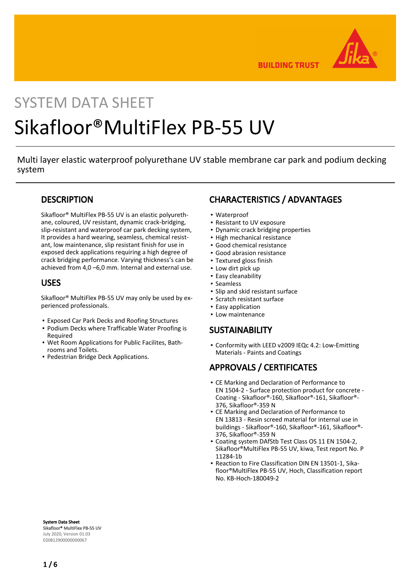

**BUILDING TRUST** 

# SYSTEM DATA SHEET Sikafloor®MultiFlex PB-55 UV

Multi layer elastic waterproof polyurethane UV stable membrane car park and podium decking system

## **DESCRIPTION**

Sikafloor® MultiFlex PB-55 UV is an elastic polyurethane, coloured, UV resistant, dynamic crack-bridging, slip-resistant and waterproof car park decking system, It provides a hard wearing, seamless, chemical resistant, low maintenance, slip resistant finish for use in exposed deck applications requiring a high degree of crack bridging performance. Varying thickness's can be achieved from 4,0 –6,0 mm. Internal and external use.

### USES

Sikafloor® MultiFlex PB-55 UV may only be used by experienced professionals.

- Exposed Car Park Decks and Roofing Structures
- Podium Decks where Trafficable Water Proofing is Required
- Wet Room Applications for Public Facilites, Bath-▪ rooms and Toilets.
- Pedestrian Bridge Deck Applications.

# CHARACTERISTICS / ADVANTAGES

- Waterproof
- Resistant to UV exposure
- Dynamic crack bridging properties
- High mechanical resistance
- Good chemical resistance
- Good abrasion resistance
- Textured gloss finish
- Low dirt pick up
- Easy cleanability
- Seamless
- Slip and skid resistant surface
- Scratch resistant surface
- Easy application
- Low maintenance

## **SUSTAINABILITY**

• Conformity with LEED v2009 IEQc 4.2: Low-Emitting Materials - Paints and Coatings

# APPROVALS / CERTIFICATES

- **CE Marking and Declaration of Performance to** EN 1504-2 - Surface protection product for concrete - Coating - Sikafloor®-160, Sikafloor®-161, Sikafloor®- 376, Sikafloor®-359 N
- **CE Marking and Declaration of Performance to** EN 13813 - Resin screed material for internal use in buildings - Sikafloor®-160, Sikafloor®-161, Sikafloor®- 376, Sikafloor®-359 N
- Coating system DAfStb Test Class OS 11 EN 1504-2, Sikafloor®MultiFlex PB-55 UV, kiwa, Test report No. P 11284-1b
- Reaction to Fire Classification DIN EN 13501-1, Sikafloor®MultiFlex PB-55 UV, Hoch, Classification report No. KB-Hoch-180049-2

System Data Sheet Sikafloor® MultiFlex PB-55 UV July 2020, Version 01.03 020812900000000067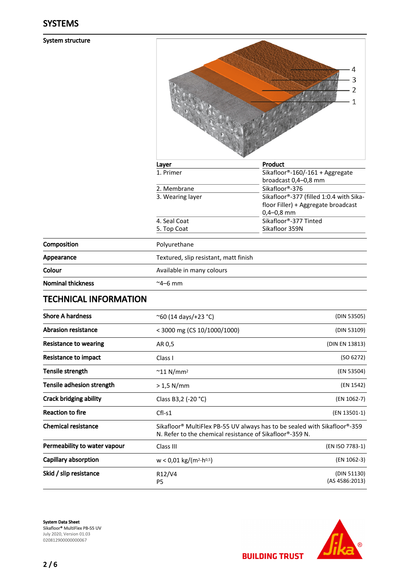#### System structure

| Layer |                                       | Product                                 |
|-------|---------------------------------------|-----------------------------------------|
|       | 1. Primer                             | Sikafloor®-160/-161 + Aggregate         |
|       |                                       | broadcast 0,4-0,8 mm                    |
|       | 2. Membrane                           | Sikafloor®-376                          |
|       | 3. Wearing layer                      | Sikafloor®-377 (filled 1:0.4 with Sika- |
|       |                                       | floor Filler) + Aggregate broadcast     |
|       |                                       | $0,4-0,8$ mm                            |
|       | 4. Seal Coat                          | Sikafloor®-377 Tinted                   |
|       | 5. Top Coat                           | Sikafloor 359N                          |
|       | Polyurethane                          |                                         |
|       | Textured, slip resistant, matt finish |                                         |
|       | Available in many colours             |                                         |

Composition Appearance

Colour

# TECHNICAL INFORMATION

| <b>Shore A hardness</b>       | $^{\circ}60$ (14 days/+23 $^{\circ}$ C)                                                                                                                        | (DIN 53505)                   |
|-------------------------------|----------------------------------------------------------------------------------------------------------------------------------------------------------------|-------------------------------|
| <b>Abrasion resistance</b>    | $<$ 3000 mg (CS 10/1000/1000)                                                                                                                                  | (DIN 53109)                   |
| Resistance to wearing         | AR 0,5                                                                                                                                                         | (DIN EN 13813)                |
| Resistance to impact          | Class I                                                                                                                                                        | (SO 6272)                     |
| Tensile strength              | $\sim$ 11 N/mm <sup>2</sup>                                                                                                                                    | (EN 53504)                    |
| Tensile adhesion strength     | $> 1.5$ N/mm                                                                                                                                                   | (EN 1542)                     |
| <b>Crack bridging ability</b> | Class B3,2 (-20 °C)                                                                                                                                            | (EN 1062-7)                   |
| <b>Reaction to fire</b>       | $Cfl-S1$                                                                                                                                                       | (EN 13501-1)                  |
| <b>Chemical resistance</b>    | Sikafloor <sup>®</sup> MultiFlex PB-55 UV always has to be sealed with Sikafloor <sup>®</sup> -359<br>N. Refer to the chemical resistance of Sikafloor®-359 N. |                               |
| Permeability to water vapour  | Class III                                                                                                                                                      | (EN ISO 7783-1)               |
| Capillary absorption          | $w < 0.01$ kg/(m <sup>2</sup> ·h <sup>0,5</sup> )                                                                                                              | (EN 1062-3)                   |
| Skid / slip resistance        | R12/V4<br>P5                                                                                                                                                   | (DIN 51130)<br>(AS 4586:2013) |

 $~^{\sim}$ 4–6 mm

System Data Sheet Sikafloor® MultiFlex PB-55 UV July 2020, Version 01.03 020812900000000067



**BUILDING TRUST**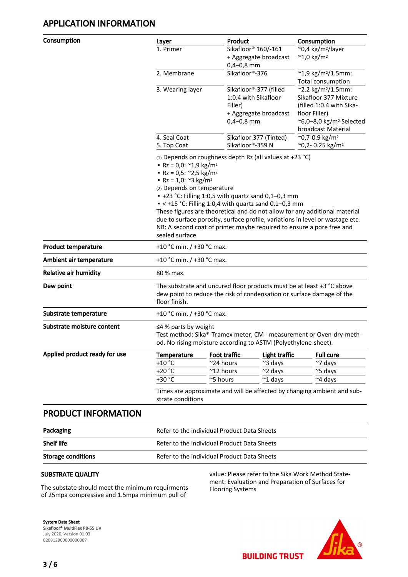# APPLICATION INFORMATION

| Consumption                   | Layer                                                                                                                                                              | Product                                                                                                                                               |                        | Consumption                               |  |  |
|-------------------------------|--------------------------------------------------------------------------------------------------------------------------------------------------------------------|-------------------------------------------------------------------------------------------------------------------------------------------------------|------------------------|-------------------------------------------|--|--|
|                               | 1. Primer                                                                                                                                                          |                                                                                                                                                       | Sikafloor® 160/-161    | $^{\sim}$ 0,4 kg/m <sup>2</sup> /layer    |  |  |
|                               |                                                                                                                                                                    |                                                                                                                                                       | + Aggregate broadcast  | $~^{\sim}$ 1,0 kg/m <sup>2</sup>          |  |  |
|                               |                                                                                                                                                                    | $0,4-0,8$ mm                                                                                                                                          |                        |                                           |  |  |
|                               | 2. Membrane                                                                                                                                                        | Sikafloor®-376                                                                                                                                        |                        | $~^{\sim}$ 1,9 kg/m <sup>2</sup> /1.5mm:  |  |  |
|                               |                                                                                                                                                                    |                                                                                                                                                       |                        | Total consumption                         |  |  |
|                               | 3. Wearing layer                                                                                                                                                   |                                                                                                                                                       | Sikafloor®-377 (filled | ~2.2 kg/m <sup>2</sup> /1.5mm:            |  |  |
|                               |                                                                                                                                                                    |                                                                                                                                                       | 1:0.4 with Sikafloor   | Sikafloor 377 Mixture                     |  |  |
|                               |                                                                                                                                                                    | Filler)                                                                                                                                               |                        | (filled 1:0.4 with Sika-<br>floor Filler) |  |  |
|                               |                                                                                                                                                                    | $0,4-0,8$ mm                                                                                                                                          | + Aggregate broadcast  | $\sim$ 6,0–8,0 kg/m <sup>2</sup> Selected |  |  |
|                               |                                                                                                                                                                    |                                                                                                                                                       |                        | broadcast Material                        |  |  |
|                               | 4. Seal Coat                                                                                                                                                       |                                                                                                                                                       | Sikafloor 377 (Tinted) | $^{\sim}$ 0,7-0.9 kg/m <sup>2</sup>       |  |  |
|                               | 5. Top Coat                                                                                                                                                        | Sikafloor®-359 N                                                                                                                                      |                        | ~0,2-0.25 kg/m <sup>2</sup>               |  |  |
|                               | • Rz = 0,0: $\approx$ 1,9 kg/m <sup>2</sup><br>• Rz = 0,5: $\approx$ 2,5 kg/m <sup>2</sup><br>• Rz = 1,0: $\approx$ 3 kg/m <sup>2</sup>                            | (1) Depends on roughness depth Rz (all values at +23 °C)                                                                                              |                        |                                           |  |  |
|                               |                                                                                                                                                                    | (2) Depends on temperature<br>• +23 °C: Filling 1:0,5 with quartz sand 0,1-0,3 mm                                                                     |                        |                                           |  |  |
|                               |                                                                                                                                                                    | $\bullet$ < +15 °C: Filling 1:0,4 with quartz sand 0,1-0,3 mm                                                                                         |                        |                                           |  |  |
|                               |                                                                                                                                                                    | These figures are theoretical and do not allow for any additional material                                                                            |                        |                                           |  |  |
|                               |                                                                                                                                                                    | due to surface porosity, surface profile, variations in level or wastage etc.<br>NB: A second coat of primer maybe required to ensure a pore free and |                        |                                           |  |  |
|                               | sealed surface                                                                                                                                                     |                                                                                                                                                       |                        |                                           |  |  |
| <b>Product temperature</b>    |                                                                                                                                                                    | +10 °C min. $/$ +30 °C max.                                                                                                                           |                        |                                           |  |  |
| Ambient air temperature       |                                                                                                                                                                    | +10 °C min. / +30 °C max.                                                                                                                             |                        |                                           |  |  |
| <b>Relative air humidity</b>  | 80 % max.                                                                                                                                                          |                                                                                                                                                       |                        |                                           |  |  |
| Dew point                     | floor finish.                                                                                                                                                      | The substrate and uncured floor products must be at least $+3$ °C above<br>dew point to reduce the risk of condensation or surface damage of the      |                        |                                           |  |  |
| Substrate temperature         |                                                                                                                                                                    | +10 °C min. / +30 °C max.                                                                                                                             |                        |                                           |  |  |
| Substrate moisture content    | $\leq$ 4% parts by weight<br>Test method: Sika®-Tramex meter, CM - measurement or Oven-dry-meth-<br>od. No rising moisture according to ASTM (Polyethylene-sheet). |                                                                                                                                                       |                        |                                           |  |  |
| Applied product ready for use | Temperature                                                                                                                                                        | Foot traffic                                                                                                                                          | Light traffic          | <b>Full cure</b>                          |  |  |
|                               | +10 $\degree$ C                                                                                                                                                    | ~24 hours                                                                                                                                             | ~3 days                | $~\sim$ 7 days                            |  |  |
|                               | $+20 °C$                                                                                                                                                           | $^{\sim}$ 12 hours                                                                                                                                    | ~2 days                | ~5 days                                   |  |  |
|                               | +30 °C                                                                                                                                                             | ~5 hours                                                                                                                                              | $~^{\sim}$ 1 days      | ~4 days                                   |  |  |
|                               | Times are approximate and will be affected by changing ambient and sub-<br>strate conditions                                                                       |                                                                                                                                                       |                        |                                           |  |  |

PRODUCT INFORMATION

| Packaging                 | Refer to the individual Product Data Sheets |
|---------------------------|---------------------------------------------|
| <b>Shelf life</b>         | Refer to the individual Product Data Sheets |
| <b>Storage conditions</b> | Refer to the individual Product Data Sheets |

#### SUBSTRATE QUALITY

The substate should meet the minimum requirments of 25mpa compressive and 1.5mpa minimum pull of

value: Please refer to the Sika Work Method Statement: Evaluation and Preparation of Surfaces for Flooring Systems

**BUILDING TRUST** 

System Data Sheet Sikafloor® MultiFlex PB-55 UV July 2020, Version 01.03 020812900000000067

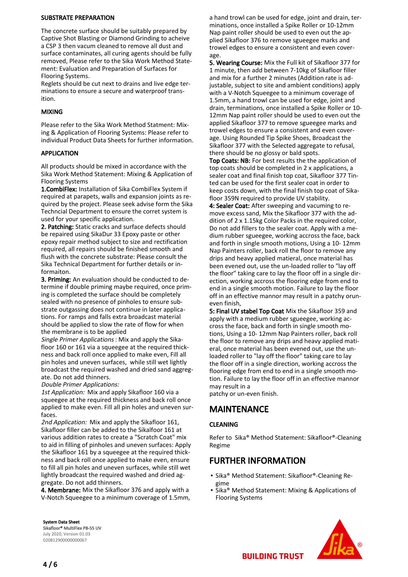#### SUBSTRATE PREPARATION

The concrete surface should be suitably prepared by Captive Shot Blasting or Diamond Grinding to acheive a CSP 3 then vacum cleaned to remove all dust and surface contaminates, all curing agents should be fully removed, Please refer to the Sika Work Method Statement: Evaluation and Preparation of Surfaces for Flooring Systems.

Reglets should be cut next to drains and live edge terminations to ensure a secure and waterproof transition.

#### MIXING

Please refer to the Sika Work Method Statment: Mixing & Application of Flooring Systems: Please refer to individual Product Data Sheets for further information.

#### APPLICATION

All products should be mixed in accordance with the Sika Work Method Statement: Mixing & Application of Flooring Systems

1.CombiFlex: Installation of Sika CombiFlex System if required at parapets, walls and expansion joints as required by the project. Please seek advise form the Sika Techncial Department to ensure the corret system is used for your specific application.

2. Patching: Static cracks and surface defects should be repaired using SikaDur 33 Epoxy paste or other epoxy repair method subject to size and rectification required, all repairs should be finished smooth and flush with the concrete substrate: Please consult the Sika Technical Department for further details or informaiton.

3. Priming: An evaluation should be conducted to determine if double priming maybe required, once priming is completed the surface should be completely sealed with no presence of pinholes to ensure substrate outgassing does not continue in later applications. For ramps and falls extra broadcast material should be applied to slow the rate of flow for when the membrane is to be applied

Single Primer Applications : Mix and apply the Sikafloor 160 or 161 via a squeegee at the required thickness and back roll once applied to make even, Fill all pin holes and uneven surfaces, while still wet lightly broadcast the required washed and dried sand aggregate. Do not add thinners.

Double Primer Applications:

1st Application: Mix and apply Sikafloor 160 via a squeegee at the required thickness and back roll once applied to make even. Fill all pin holes and uneven surfaces.

2nd Application: Mix and apply the Sikafloor 161, Sikafloor filler can be added to the Sikalfoor 161 at various addition rates to create a "Scratch Coat" mix to aid in filling of pinholes and uneven surfaces: Apply the Sikafloor 161 by a squeegee at the required thickness and back roll once applied to make even, ensure to fill all pin holes and uneven surfaces, while still wet lightly broadcast the required washed and dried aggregate. Do not add thinners.

4. Membrane: Mix the Sikafloor 376 and apply with a V-Notch Squeegee to a minimum coverage of 1.5mm, a hand trowl can be used for edge, joint and drain, terminations, once installed a Spike Roller or 10-12mm Nap paint roller should be used to even out the applied Sikafloor 376 to remove sgueegee marks and trowel edges to ensure a consistent and even coverage.

5. Wearing Course: Mix the Full kit of Sikafloor 377 for 1 minute, then add between 7-10kg of Sikafloor filler and mix for a further 2 minutes (Addition rate is adjustable, subject to site and ambient conditions) apply with a V-Notch Squeegee to a minimum coverage of 1.5mm, a hand trowl can be used for edge, joint and drain, terminations, once installed a Spike Roller or 10- 12mm Nap paint roller should be used to even out the applied Sikafloor 377 to remove sgueegee marks and trowel edges to ensure a consistent and even coverage. Using Rounded Tip Spike Shoes, Broadcast the Sikafloor 377 with the Selected aggregate to refusal, there should be no glossy or bald spots.

Top Coats: NB: For best results the the application of top coats should be completed in 2 x applications, a sealer coat and final finish top coat, Sikafloor 377 Tinted can be used for the first sealer coat in order to keep costs down, with the final finish top coat of Sikafloor 359N required to provide UV stability.

4: Sealer Coat: After sweeping and vacuming to remove excess sand, Mix the Sikafloor 377 with the addition of 2 x 1.15kg Color Packs in the required color, Do not add fillers to the sealer coat. Apply with a medium rubber sgueegee, working accross the face, back and forth in single smooth motions, Using a 10- 12mm Nap Painters roller, back roll the floor to remove any drips and heavy applied matieral, once material has been evened out, use the un-loaded roller to "lay off the floor" taking care to lay the floor off in a single direction, working accross the flooring edge from end to end in a single smooth motion. Failure to lay the floor off in an effective mannor may result in a patchy oruneven finish,

5: Final UV stabel Top Coat Mix the Sikafloor 359 and apply with a medium rubber sgueegee, working accross the face, back and forth in single smooth motions, Using a 10- 12mm Nap Painters roller, back roll the floor to remove any drips and heavy applied matieral, once material has been evened out, use the unloaded roller to "lay off the floor" taking care to lay the floor off in a single direction, working accross the flooring edge from end to end in a single smooth motion. Failure to lay the floor off in an effective mannor may result in a

patchy or un-even finish.

# MAINTENANCE

#### CLEANING

Refer to Sika® Method Statement: Sikafloor®-Cleaning Regime

# FURTHER INFORMATION

- Sika® Method Statement: Sikafloor®-Cleaning Regime
- **Sika® Method Statement: Mixing & Applications of** Flooring Systems



System Data Sheet Sikafloor® MultiFlex PB-55 UV July 2020, Version 01.03 020812900000000067

**BUILDING TRUST**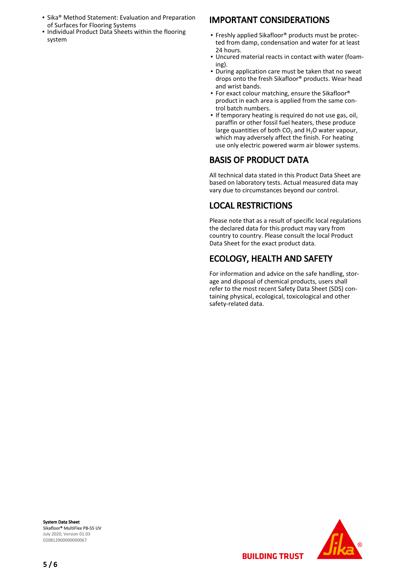- Sika® Method Statement: Evaluation and Preparation of Surfaces for Flooring Systems
- **.** Individual Product Data Sheets within the flooring system

# IMPORTANT CONSIDERATIONS

- Freshly applied Sikafloor® products must be protected from damp, condensation and water for at least 24 hours.
- Uncured material reacts in contact with water (foam-▪ ing).
- During application care must be taken that no sweat drops onto the fresh Sikafloor® products. Wear head and wrist bands.
- **For exact colour matching, ensure the Sikafloor®** product in each area is applied from the same control batch numbers.
- **.** If temporary heating is required do not use gas, oil, paraffin or other fossil fuel heaters, these produce large quantities of both  $CO<sub>2</sub>$  and H<sub>2</sub>O water vapour, which may adversely affect the finish. For heating use only electric powered warm air blower systems.

# BASIS OF PRODUCT DATA

All technical data stated in this Product Data Sheet are based on laboratory tests. Actual measured data may vary due to circumstances beyond our control.

# LOCAL RESTRICTIONS

Please note that as a result of specific local regulations the declared data for this product may vary from country to country. Please consult the local Product Data Sheet for the exact product data.

# ECOLOGY, HEALTH AND SAFETY

**BUILDING TRUST** 

For information and advice on the safe handling, storage and disposal of chemical products, users shall refer to the most recent Safety Data Sheet (SDS) containing physical, ecological, toxicological and other safety-related data.

System Data Sheet Sikafloor® MultiFlex PB-55 UV July 2020, Version 01.03 020812900000000067